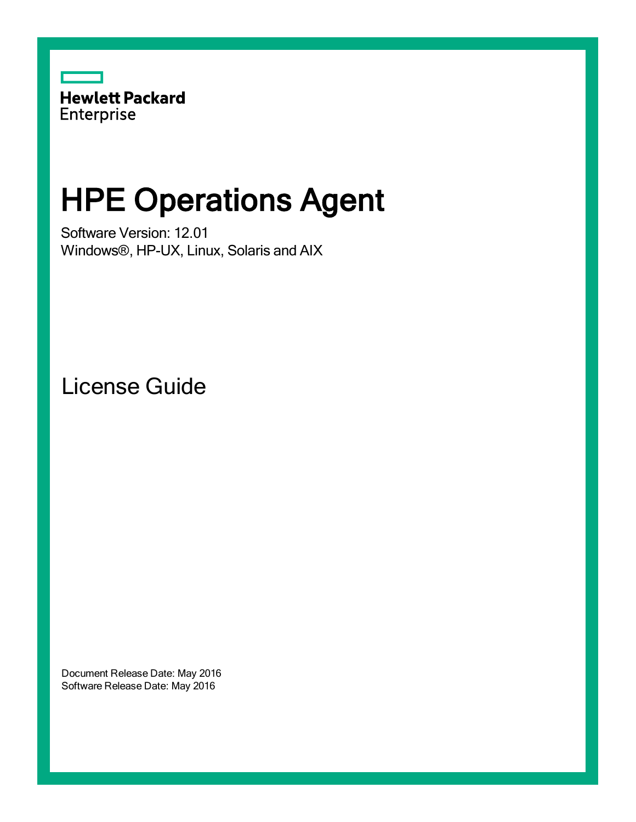

# HPE Operations Agent

Software Version: 12.01 Windows®, HP-UX, Linux, Solaris and AIX

License Guide

Document Release Date: May 2016 Software Release Date: May 2016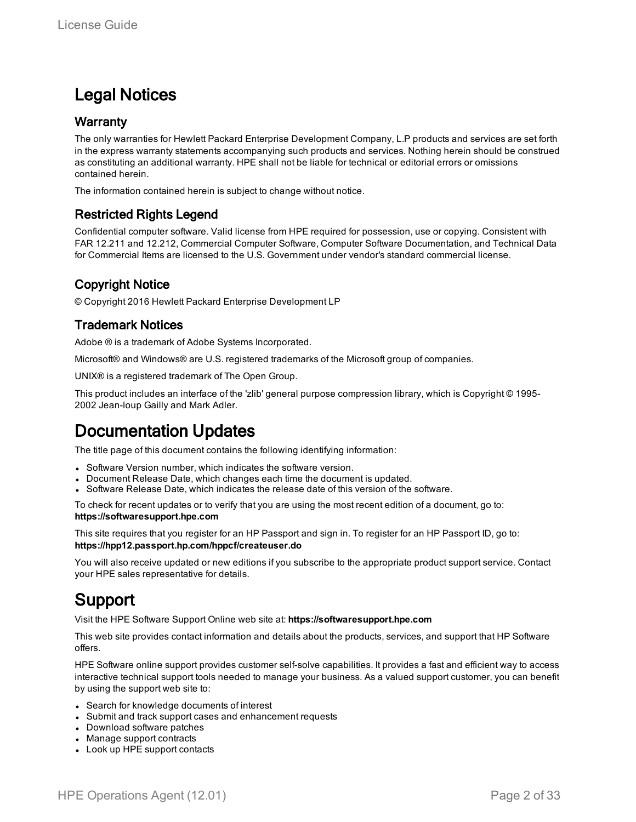### Legal Notices

#### **Warranty**

The only warranties for Hewlett Packard Enterprise Development Company, L.P products and services are set forth in the express warranty statements accompanying such products and services. Nothing herein should be construed as constituting an additional warranty. HPE shall not be liable for technical or editorial errors or omissions contained herein.

The information contained herein is subject to change without notice.

#### Restricted Rights Legend

Confidential computer software. Valid license from HPE required for possession, use or copying. Consistent with FAR 12.211 and 12.212, Commercial Computer Software, Computer Software Documentation, and Technical Data for Commercial Items are licensed to the U.S. Government under vendor's standard commercial license.

#### Copyright Notice

© Copyright 2016 Hewlett Packard Enterprise Development LP

#### Trademark Notices

Adobe ® is a trademark of Adobe Systems Incorporated.

Microsoft® and Windows® are U.S. registered trademarks of the Microsoft group of companies.

UNIX® is a registered trademark of The Open Group.

This product includes an interface of the 'zlib' general purpose compression library, which is Copyright © 1995- 2002 Jean-loup Gailly and Mark Adler.

### Documentation Updates

The title page of this document contains the following identifying information:

- Software Version number, which indicates the software version.
- Document Release Date, which changes each time the document is updated.
- <sup>l</sup> Software Release Date, which indicates the release date of this version of the software.

To check for recent updates or to verify that you are using the most recent edition of a document, go to: **https://softwaresupport.hpe.com**

This site requires that you register for an HP Passport and sign in. To register for an HP Passport ID, go to: **https://hpp12.passport.hp.com/hppcf/createuser.do**

You will also receive updated or new editions if you subscribe to the appropriate product support service. Contact your HPE sales representative for details.

### Support

Visit the HPE Software Support Online web site at: **https://softwaresupport.hpe.com**

This web site provides contact information and details about the products, services, and support that HP Software offers.

HPE Software online support provides customer self-solve capabilities. It provides a fast and efficient way to access interactive technical support tools needed to manage your business. As a valued support customer, you can benefit by using the support web site to:

- Search for knowledge documents of interest
- Submit and track support cases and enhancement requests
- Download software patches
- Manage support contracts
- Look up HPE support contacts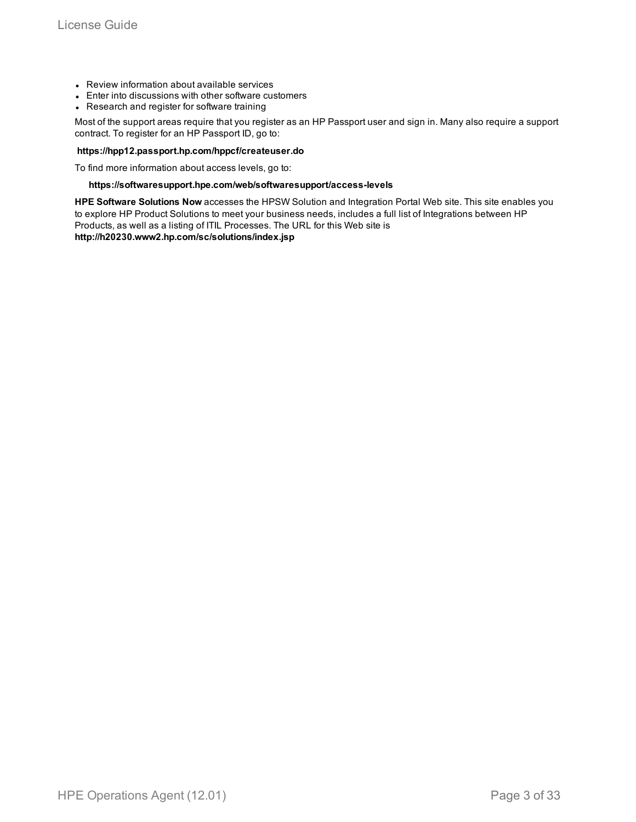- Review information about available services
- Enter into discussions with other software customers
- Research and register for software training

Most of the support areas require that you register as an HP Passport user and sign in. Many also require a support contract. To register for an HP Passport ID, go to:

#### **https://hpp12.passport.hp.com/hppcf/createuser.do**

To find more information about access levels, go to:

#### **https://softwaresupport.hpe.com/web/softwaresupport/access-levels**

**HPE Software Solutions Now** accesses the HPSW Solution and Integration Portal Web site. This site enables you to explore HP Product Solutions to meet your business needs, includes a full list of Integrations between HP Products, as well as a listing of ITIL Processes. The URL for this Web site is **http://h20230.www2.hp.com/sc/solutions/index.jsp**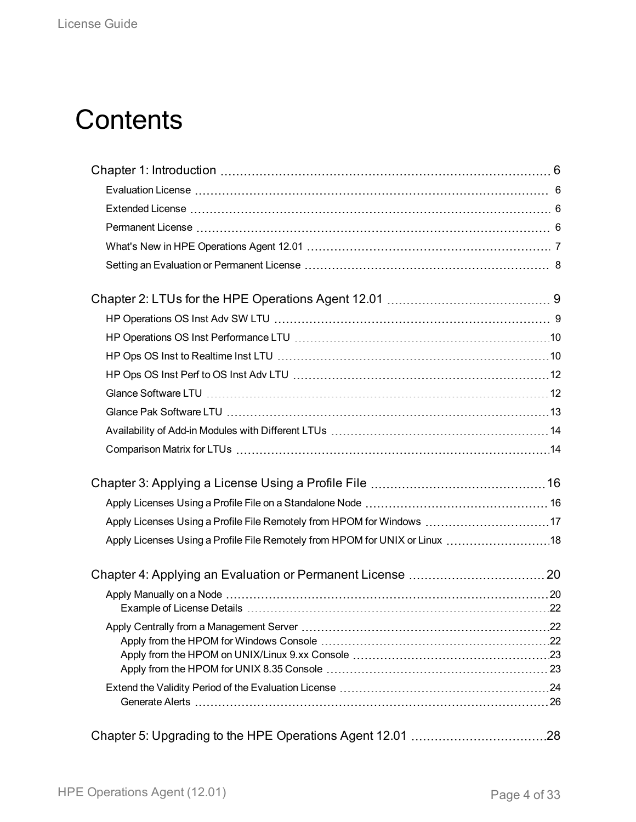# **Contents**

| Apply Licenses Using a Profile File Remotely from HPOM for Windows 17        |  |
|------------------------------------------------------------------------------|--|
| Apply Licenses Using a Profile File Remotely from HPOM for UNIX or Linux  18 |  |
|                                                                              |  |
|                                                                              |  |
|                                                                              |  |
|                                                                              |  |
|                                                                              |  |
|                                                                              |  |
|                                                                              |  |
|                                                                              |  |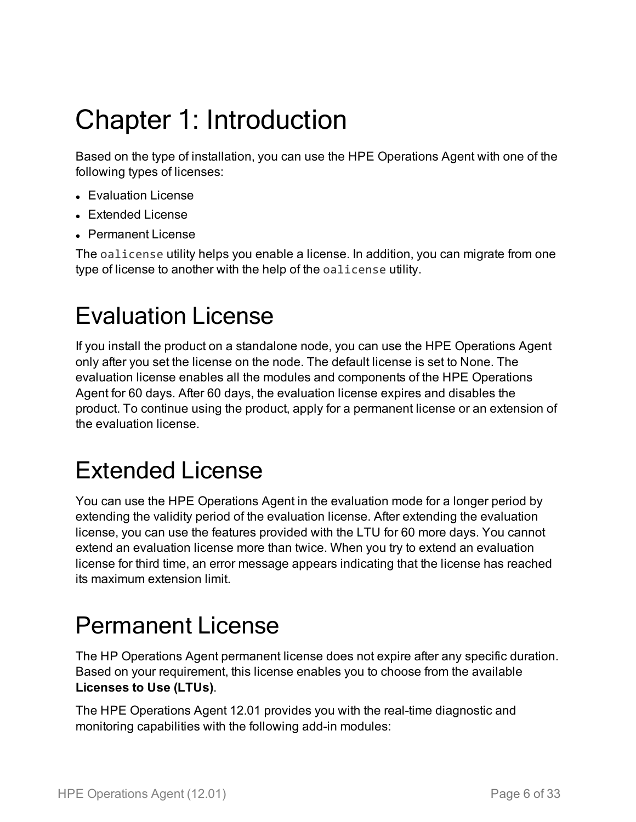# <span id="page-5-0"></span>Chapter 1: Introduction

Based on the type of installation, you can use the HPE Operations Agent with one of the following types of licenses:

- Evaluation License
- Extended License
- Permanent License

The oalicense utility helps you enable a license. In addition, you can migrate from one type of license to another with the help of the oalicense utility.

## <span id="page-5-1"></span>Evaluation License

If you install the product on a standalone node, you can use the HPE Operations Agent only after you set the license on the node. The default license is set to None. The evaluation license enables all the modules and components of the HPE Operations Agent for 60 days. After 60 days, the evaluation license expires and disables the product. To continue using the product, apply for a permanent license or an extension of the evaluation license.

### <span id="page-5-2"></span>Extended License

You can use the HPE Operations Agent in the evaluation mode for a longer period by extending the validity period of the evaluation license. After extending the evaluation license, you can use the features provided with the LTU for 60 more days. You cannot extend an evaluation license more than twice. When you try to extend an evaluation license for third time, an error message appears indicating that the license has reached its maximum extension limit.

### <span id="page-5-3"></span>Permanent License

The HP Operations Agent permanent license does not expire after any specific duration. Based on your requirement, this license enables you to choose from the available **Licenses to Use (LTUs)**.

The HPE Operations Agent 12.01 provides you with the real-time diagnostic and monitoring capabilities with the following add-in modules: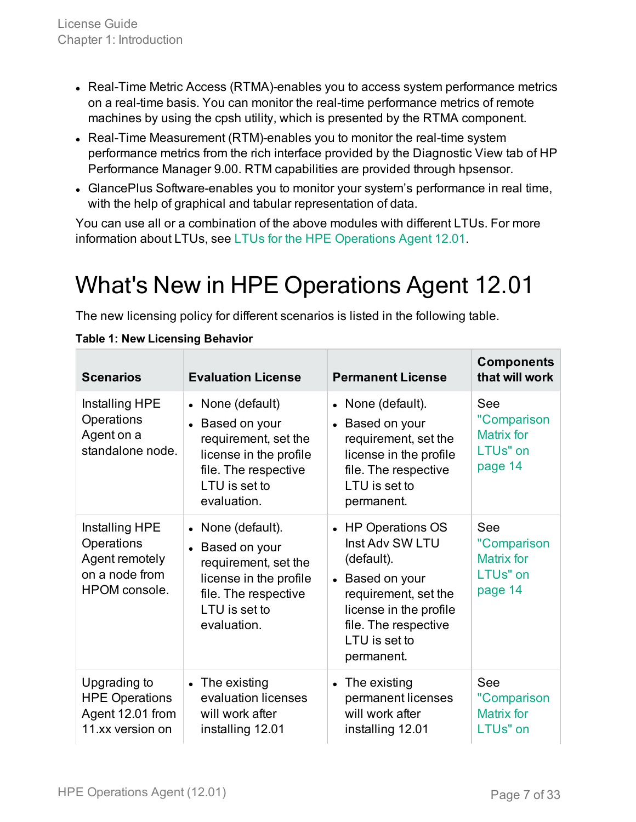- Real-Time Metric Access (RTMA)-enables you to access system performance metrics on a real-time basis. You can monitor the real-time performance metrics of remote machines by using the cpsh utility, which is presented by the RTMA component.
- Real-Time Measurement (RTM)-enables you to monitor the real-time system performance metrics from the rich interface provided by the Diagnostic View tab of HP Performance Manager 9.00. RTM capabilities are provided through hpsensor.
- GlancePlus Software-enables you to monitor your system's performance in real time, with the help of graphical and tabular representation of data.

You can use all or a combination of the above modules with different LTUs. For more information about LTUs, see LTUs for the HPE [Operations](#page-8-0) Agent 12.01.

## <span id="page-6-0"></span>What's New in HPE Operations Agent 12.01

The new licensing policy for different scenarios is listed in the following table.

| <b>Scenarios</b>                                                                         | <b>Evaluation License</b>                                                                                                                     | <b>Permanent License</b>                                                                                                                                                        | <b>Components</b><br>that will work                                   |
|------------------------------------------------------------------------------------------|-----------------------------------------------------------------------------------------------------------------------------------------------|---------------------------------------------------------------------------------------------------------------------------------------------------------------------------------|-----------------------------------------------------------------------|
| Installing HPE<br>Operations<br>Agent on a<br>standalone node.                           | • None (default)<br>• Based on your<br>requirement, set the<br>license in the profile<br>file. The respective<br>LTU is set to<br>evaluation. | • None (default).<br>• Based on your<br>requirement, set the<br>license in the profile<br>file. The respective<br>LTU is set to<br>permanent.                                   | See<br>"Comparison<br><b>Matrix for</b><br>LTUs" on<br>page 14        |
| Installing HPE<br>Operations<br>Agent remotely<br>on a node from<br><b>HPOM</b> console. | • None (default).<br>Based on your<br>requirement, set the<br>license in the profile<br>file. The respective<br>LTU is set to<br>evaluation.  | • HP Operations OS<br>Inst Adv SW LTU<br>(default).<br>• Based on your<br>requirement, set the<br>license in the profile<br>file. The respective<br>LTU is set to<br>permanent. | See<br>"Comparison<br><b>Matrix for</b><br><b>LTUs" on</b><br>page 14 |
| Upgrading to<br><b>HPE Operations</b><br>Agent 12.01 from<br>11.xx version on            | $\bullet$ The existing<br>evaluation licenses<br>will work after<br>installing 12.01                                                          | • The existing<br>permanent licenses<br>will work after<br>installing 12.01                                                                                                     | See<br>"Comparison<br><b>Matrix for</b><br><b>LTUs" on</b>            |

#### **Table 1: New Licensing Behavior**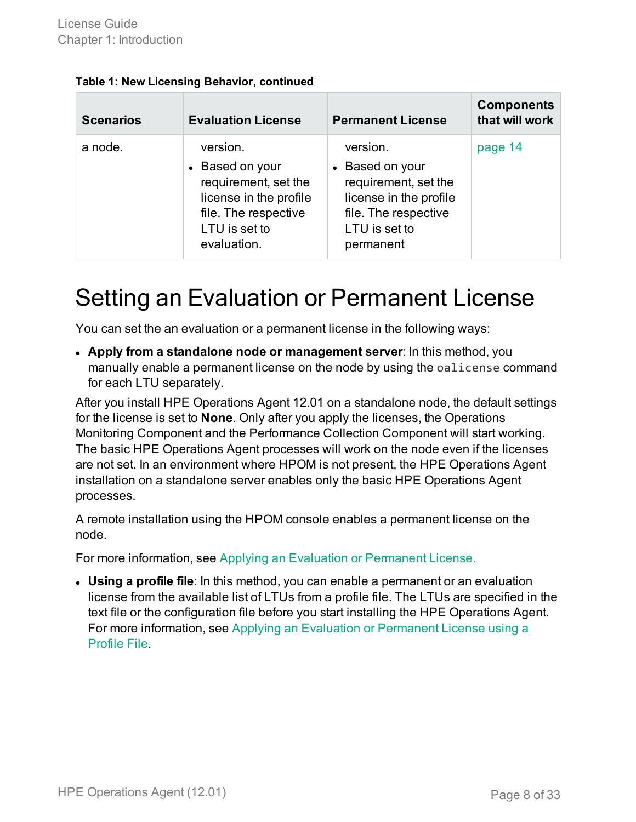| <b>Scenarios</b> | <b>Evaluation License</b>                                                                                                             | <b>Permanent License</b>                                                                                                            | <b>Components</b><br>that will work |
|------------------|---------------------------------------------------------------------------------------------------------------------------------------|-------------------------------------------------------------------------------------------------------------------------------------|-------------------------------------|
| a node.          | version.<br>• Based on your<br>requirement, set the<br>license in the profile<br>file. The respective<br>LTU is set to<br>evaluation. | version.<br>• Based on your<br>requirement, set the<br>license in the profile<br>file. The respective<br>LTU is set to<br>permanent | page 14                             |

#### **Table 1: New Licensing Behavior, continued**

### <span id="page-7-0"></span>Setting an Evaluation or Permanent License

You can set the an evaluation or a permanent license in the following ways:

<sup>l</sup> **Apply from a standalone node or management server**: In this method, you manually enable a permanent license on the node by using the oalicense command for each LTU separately.

After you install HPE Operations Agent 12.01 on a standalone node, the default settings for the license is set to **None**. Only after you apply the licenses, the Operations Monitoring Component and the Performance Collection Component will start working. The basic HPE Operations Agent processes will work on the node even if the licenses are not set. In an environment where HPOM is not present, the HPE Operations Agent installation on a standalone server enables only the basic HPE Operations Agent processes.

A remote installation using the HPOM console enables a permanent license on the node.

For more information, see Applying an Evaluation or [Permanent](#page-19-0) License.

<sup>l</sup> **Using a profile file**: In this method, you can enable a permanent or an evaluation license from the available list of LTUs from a profile file. The LTUs are specified in the text file or the configuration file before you start installing the HPE Operations Agent. For more information, see Applying an Evaluation or [Permanent](#page-15-0) License using a [Profile](#page-15-0) File.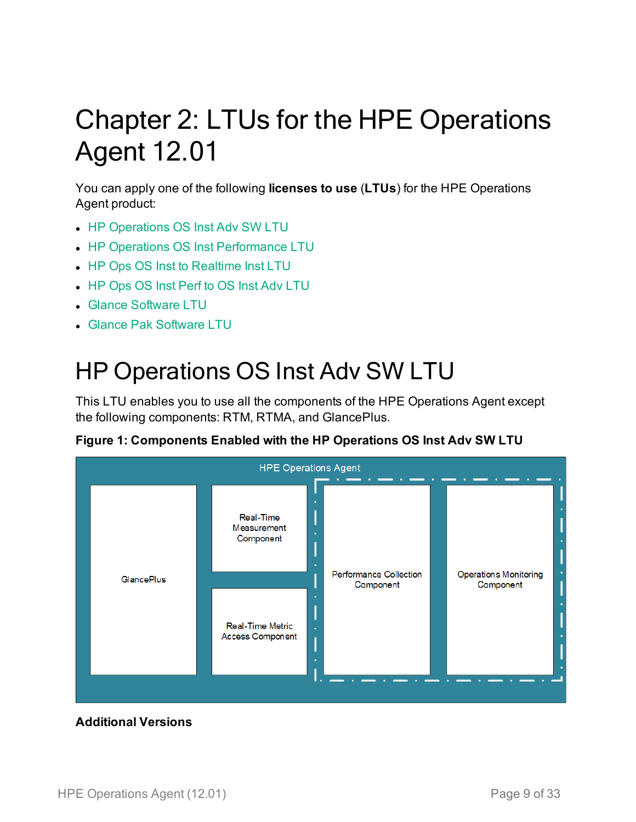# <span id="page-8-0"></span>Chapter 2: LTUs for the HPE Operations Agent 12.01

You can apply one of the following **licenses to use** (**LTUs**) for the HPE Operations Agent product:

- HP [Operations](#page-8-1) OS Inst Adv SW LTU
- HP Operations OS Inst [Performance](#page-9-0) LTU
- HP Ops OS Inst to [Realtime](#page-9-1) Inst LTU
- HP Ops OS Inst Perf to OS Inst Adv [LTU](#page-11-0)
- <sup>l</sup> Glance [Software](#page-11-1) LTU
- <span id="page-8-1"></span>**.** Glance Pak [Software](#page-12-0) LTU

### HP Operations OS Inst Adv SW LTU

This LTU enables you to use all the components of the HPE Operations Agent except the following components: RTM, RTMA, and GlancePlus.



**Figure 1: Components Enabled with the HP Operations OS Inst Adv SW LTU**

#### **Additional Versions**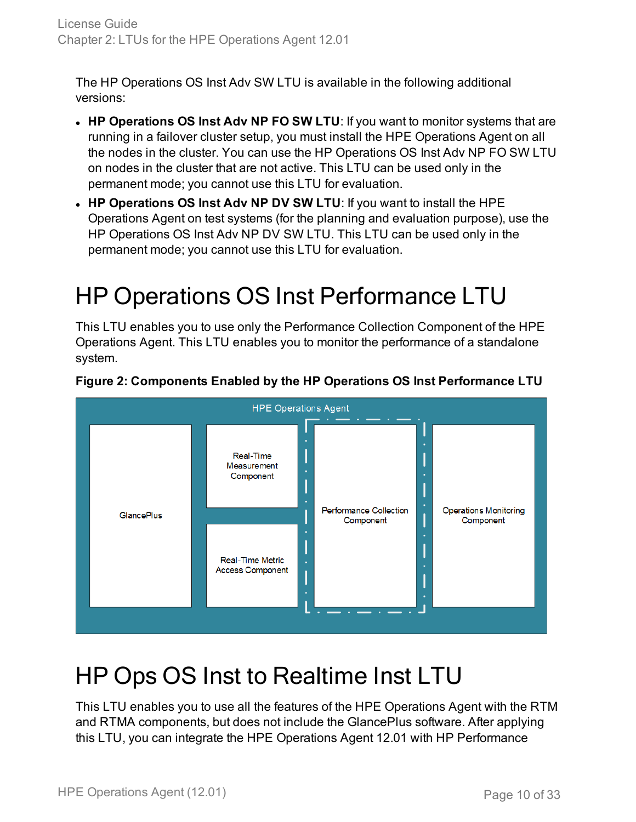The HP Operations OS Inst Adv SW LTU is available in the following additional versions:

- <sup>l</sup> **HP Operations OS Inst Adv NP FO SW LTU**: If you want to monitor systems that are running in a failover cluster setup, you must install the HPE Operations Agent on all the nodes in the cluster. You can use the HP Operations OS Inst Adv NP FO SW LTU on nodes in the cluster that are not active. This LTU can be used only in the permanent mode; you cannot use this LTU for evaluation.
- <sup>l</sup> **HP Operations OS Inst Adv NP DV SW LTU**: If you want to install the HPE Operations Agent on test systems (for the planning and evaluation purpose), use the HP Operations OS Inst Adv NP DV SW LTU. This LTU can be used only in the permanent mode; you cannot use this LTU for evaluation.

## <span id="page-9-0"></span>HP Operations OS Inst Performance LTU

This LTU enables you to use only the Performance Collection Component of the HPE Operations Agent. This LTU enables you to monitor the performance of a standalone system.



#### **Figure 2: Components Enabled by the HP Operations OS Inst Performance LTU**

## <span id="page-9-1"></span>HP Ops OS Inst to Realtime Inst LTU

This LTU enables you to use all the features of the HPE Operations Agent with the RTM and RTMA components, but does not include the GlancePlus software. After applying this LTU, you can integrate the HPE Operations Agent 12.01 with HP Performance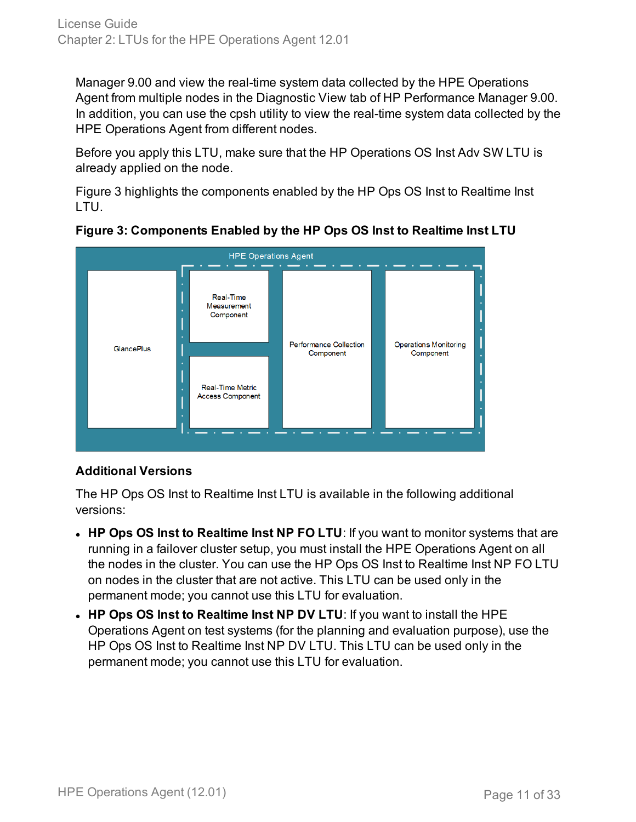Manager 9.00 and view the real-time system data collected by the HPE Operations Agent from multiple nodes in the Diagnostic View tab of HP Performance Manager 9.00. In addition, you can use the cpsh utility to view the real-time system data collected by the HPE Operations Agent from different nodes.

Before you apply this LTU, make sure that the HP Operations OS Inst Adv SW LTU is already applied on the node.

Figure 3 highlights the components enabled by the HP Ops OS Inst to Realtime Inst LTU.



**Figure 3: Components Enabled by the HP Ops OS Inst to Realtime Inst LTU**

#### **Additional Versions**

The HP Ops OS Inst to Realtime Inst LTU is available in the following additional versions:

- <sup>l</sup> **HP Ops OS Inst to Realtime Inst NP FO LTU**: If you want to monitor systems that are running in a failover cluster setup, you must install the HPE Operations Agent on all the nodes in the cluster. You can use the HP Ops OS Inst to Realtime Inst NP FO LTU on nodes in the cluster that are not active. This LTU can be used only in the permanent mode; you cannot use this LTU for evaluation.
- <sup>l</sup> **HP Ops OS Inst to Realtime Inst NP DV LTU**: If you want to install the HPE Operations Agent on test systems (for the planning and evaluation purpose), use the HP Ops OS Inst to Realtime Inst NP DV LTU. This LTU can be used only in the permanent mode; you cannot use this LTU for evaluation.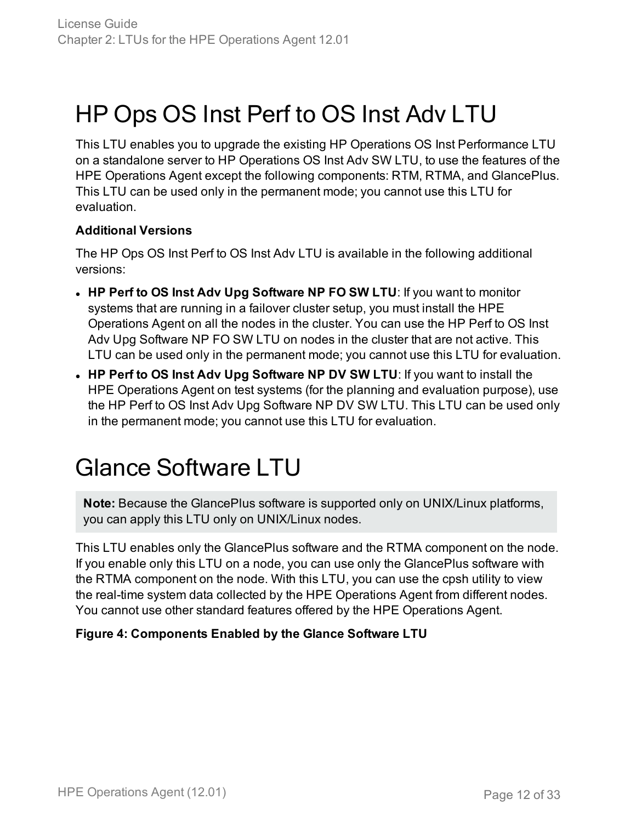### <span id="page-11-0"></span>HP Ops OS Inst Perf to OS Inst Adv LTU

This LTU enables you to upgrade the existing HP Operations OS Inst Performance LTU on a standalone server to HP Operations OS Inst Adv SW LTU, to use the features of the HPE Operations Agent except the following components: RTM, RTMA, and GlancePlus. This LTU can be used only in the permanent mode; you cannot use this LTU for evaluation.

#### **Additional Versions**

The HP Ops OS Inst Perf to OS Inst Adv LTU is available in the following additional versions:

- <sup>l</sup> **HP Perf to OS Inst Adv Upg Software NP FO SW LTU**: If you want to monitor systems that are running in a failover cluster setup, you must install the HPE Operations Agent on all the nodes in the cluster. You can use the HP Perf to OS Inst Adv Upg Software NP FO SW LTU on nodes in the cluster that are not active. This LTU can be used only in the permanent mode; you cannot use this LTU for evaluation.
- <sup>l</sup> **HP Perf to OS Inst Adv Upg Software NP DV SW LTU**: If you want to install the HPE Operations Agent on test systems (for the planning and evaluation purpose), use the HP Perf to OS Inst Adv Upg Software NP DV SW LTU. This LTU can be used only in the permanent mode; you cannot use this LTU for evaluation.

### <span id="page-11-1"></span>Glance Software LTU

**Note:** Because the GlancePlus software is supported only on UNIX/Linux platforms, you can apply this LTU only on UNIX/Linux nodes.

This LTU enables only the GlancePlus software and the RTMA component on the node. If you enable only this LTU on a node, you can use only the GlancePlus software with the RTMA component on the node. With this LTU, you can use the cpsh utility to view the real-time system data collected by the HPE Operations Agent from different nodes. You cannot use other standard features offered by the HPE Operations Agent.

#### **Figure 4: Components Enabled by the Glance Software LTU**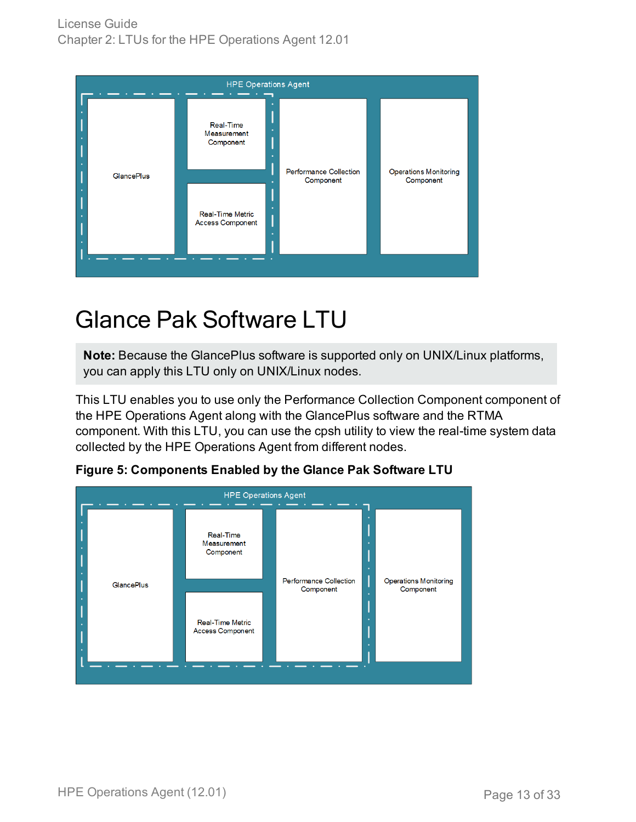

### <span id="page-12-0"></span>Glance Pak Software LTU

**Note:** Because the GlancePlus software is supported only on UNIX/Linux platforms, you can apply this LTU only on UNIX/Linux nodes.

This LTU enables you to use only the Performance Collection Component component of the HPE Operations Agent along with the GlancePlus software and the RTMA component. With this LTU, you can use the cpsh utility to view the real-time system data collected by the HPE Operations Agent from different nodes.



**Figure 5: Components Enabled by the Glance Pak Software LTU**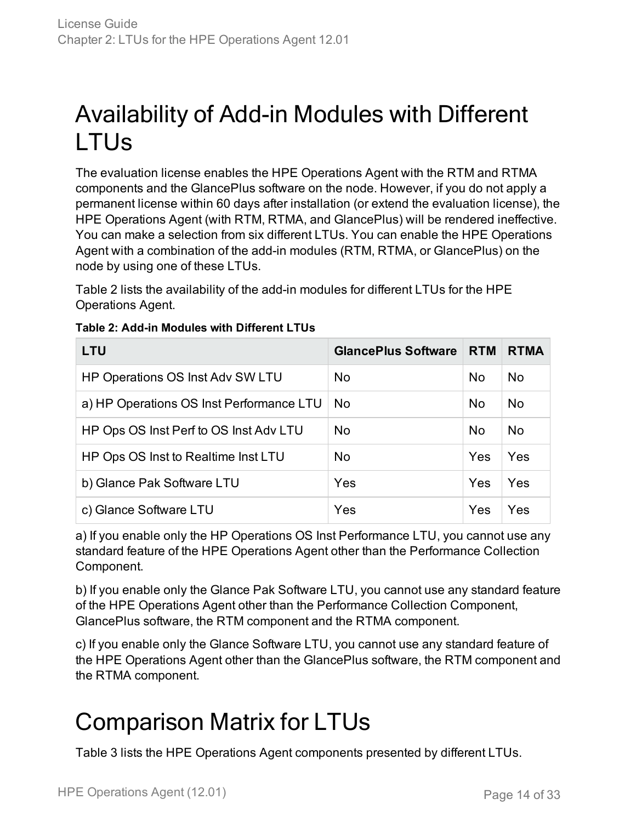## <span id="page-13-0"></span>Availability of Add-in Modules with Different LTUs

The evaluation license enables the HPE Operations Agent with the RTM and RTMA components and the GlancePlus software on the node. However, if you do not apply a permanent license within 60 days after installation (or extend the evaluation license), the HPE Operations Agent (with RTM, RTMA, and GlancePlus) will be rendered ineffective. You can make a selection from six different LTUs. You can enable the HPE Operations Agent with a combination of the add-in modules (RTM, RTMA, or GlancePlus) on the node by using one of these LTUs.

Table 2 lists the availability of the add-in modules for different LTUs for the HPE Operations Agent.

| <b>LTU</b>                               | <b>GlancePlus Software</b> | <b>RTM</b> | <b>RTMA</b> |
|------------------------------------------|----------------------------|------------|-------------|
| HP Operations OS Inst Adv SW LTU         | No.                        | No.        | <b>No</b>   |
| a) HP Operations OS Inst Performance LTU | <b>No</b>                  | <b>No</b>  | <b>No</b>   |
| HP Ops OS Inst Perf to OS Inst Adv LTU   | <b>No</b>                  | <b>No</b>  | <b>No</b>   |
| HP Ops OS Inst to Realtime Inst LTU      | <b>No</b>                  | Yes        | Yes         |
| b) Glance Pak Software LTU               | Yes                        | Yes        | Yes         |
| c) Glance Software LTU                   | Yes                        | Yes        | Yes         |

#### **Table 2: Add-in Modules with Different LTUs**

a) If you enable only the HP Operations OS Inst Performance LTU, you cannot use any standard feature of the HPE Operations Agent other than the Performance Collection Component.

b) If you enable only the Glance Pak Software LTU, you cannot use any standard feature of the HPE Operations Agent other than the Performance Collection Component, GlancePlus software, the RTM component and the RTMA component.

c) If you enable only the Glance Software LTU, you cannot use any standard feature of the HPE Operations Agent other than the GlancePlus software, the RTM component and the RTMA component.

## <span id="page-13-1"></span>Comparison Matrix for LTUs

Table 3 lists the HPE Operations Agent components presented by different LTUs.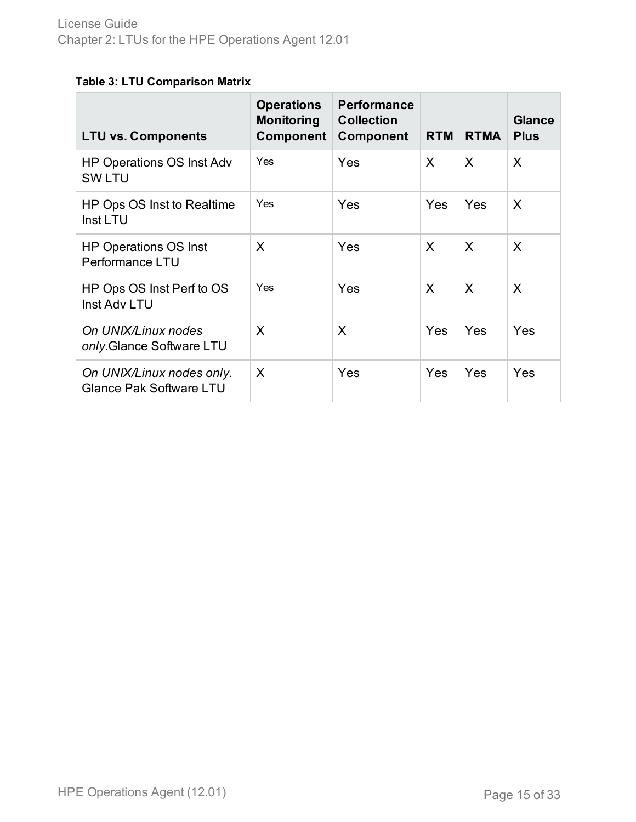### **Table 3: LTU Comparison Matrix**

| <b>LTU vs. Components</b>                                   | <b>Operations</b><br><b>Monitoring</b><br>Component | <b>Performance</b><br><b>Collection</b><br>Component | <b>RTM</b> | <b>RTMA</b> | <b>Glance</b><br><b>Plus</b> |
|-------------------------------------------------------------|-----------------------------------------------------|------------------------------------------------------|------------|-------------|------------------------------|
| <b>HP Operations OS Inst Adv</b><br><b>SWLTU</b>            | Yes                                                 | Yes                                                  | X          | X           | X                            |
| HP Ops OS Inst to Realtime<br>Inst LTU                      | Yes                                                 | Yes                                                  | Yes        | Yes         | X                            |
| <b>HP Operations OS Inst</b><br>Performance LTU             | X                                                   | Yes                                                  | X          | X           | X                            |
| HP Ops OS Inst Perf to OS<br>Inst Adv LTU                   | <b>Yes</b>                                          | Yes                                                  | X          | X           | X                            |
| On UNIX/Linux nodes<br>only. Glance Software LTU            | X                                                   | X                                                    | Yes        | Yes         | Yes                          |
| On UNIX/Linux nodes only.<br><b>Glance Pak Software LTU</b> | X                                                   | Yes                                                  | Yes        | Yes         | Yes                          |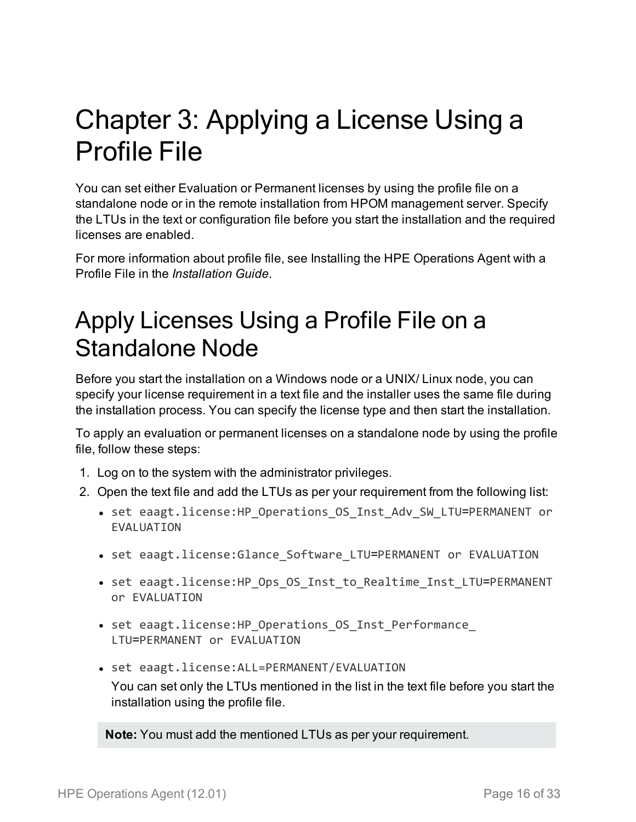# <span id="page-15-0"></span>Chapter 3: Applying a License Using a Profile File

You can set either Evaluation or Permanent licenses by using the profile file on a standalone node or in the remote installation from HPOM management server. Specify the LTUs in the text or configuration file before you start the installation and the required licenses are enabled.

For more information about profile file, see Installing the HPE Operations Agent with a Profile File in the *Installation Guide*.

### <span id="page-15-1"></span>Apply Licenses Using a Profile File on a Standalone Node

Before you start the installation on a Windows node or a UNIX/ Linux node, you can specify your license requirement in a text file and the installer uses the same file during the installation process. You can specify the license type and then start the installation.

To apply an evaluation or permanent licenses on a standalone node by using the profile file, follow these steps:

- 1. Log on to the system with the administrator privileges.
- 2. Open the text file and add the LTUs as per your requirement from the following list:
	- set eaagt.license:HP\_Operations\_OS\_Inst\_Adv\_SW\_LTU=PERMANENT or EVALUATION
	- set eaagt.license:Glance\_Software\_LTU=PERMANENT or EVALUATION
	- set eaagt.license:HP\_Ops\_OS\_Inst\_to\_Realtime\_Inst\_LTU=PERMANENT or EVALUATION
	- set eaagt.license:HP\_Operations\_OS\_Inst\_Performance\_ LTU=PERMANENT or EVALUATION
	- set eaagt.license: ALL=PERMANENT/EVALUATION

You can set only the LTUs mentioned in the list in the text file before you start the installation using the profile file.

**Note:** You must add the mentioned LTUs as per your requirement.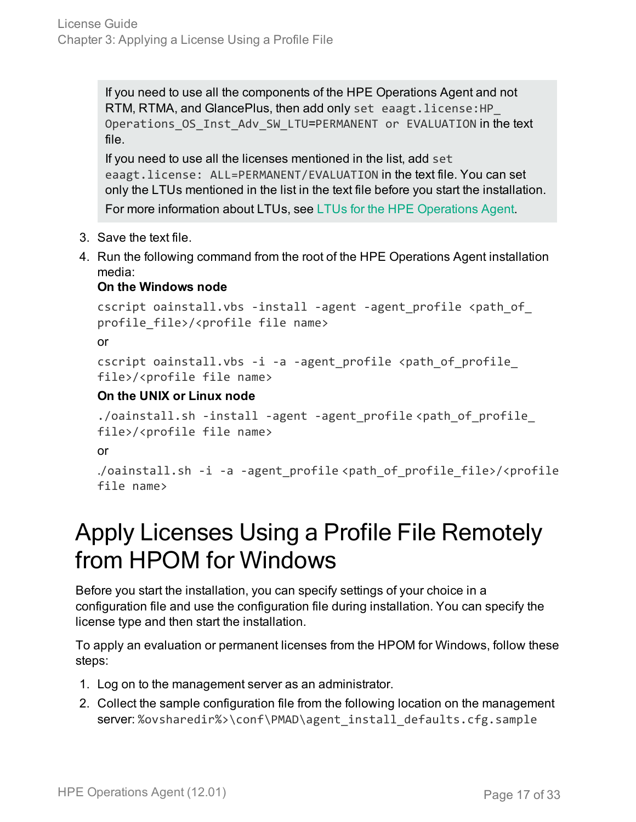If you need to use all the components of the HPE Operations Agent and not RTM, RTMA, and GlancePlus, then add only set eaagt.license:HP\_ Operations\_OS\_Inst\_Adv\_SW\_LTU=PERMANENT or EVALUATION in the text file.

If you need to use all the licenses mentioned in the list, add set eaagt.license: ALL=PERMANENT/EVALUATION in the text file. You can set only the LTUs mentioned in the list in the text file before you start the installation.

For more information about LTUs, see LTUs for the HPE [Operations](#page-8-0) Agent.

- 3. Save the text file.
- 4. Run the following command from the root of the HPE Operations Agent installation media:

#### **On the Windows node**

```
cscript oainstall.vbs -install -agent -agent_profile <path_of_
profile_file>/<profile file name>
or
cscript oainstall.vbs -i -a -agent_profile <path_of_profile_
file>/<profile file name>
```
#### **On the UNIX or Linux node**

```
./oainstall.sh -install -agent -agent_profile <path_of_profile_
file>/<profile file name>
or
./oainstall.sh -i -a -agent_profile <path_of_profile_file>/<profile
file name>
```
### <span id="page-16-0"></span>Apply Licenses Using a Profile File Remotely from HPOM for Windows

Before you start the installation, you can specify settings of your choice in a configuration file and use the configuration file during installation. You can specify the license type and then start the installation.

To apply an evaluation or permanent licenses from the HPOM for Windows, follow these steps:

- 1. Log on to the management server as an administrator.
- 2. Collect the sample configuration file from the following location on the management server: %ovsharedir%>\conf\PMAD\agent\_install\_defaults.cfg.sample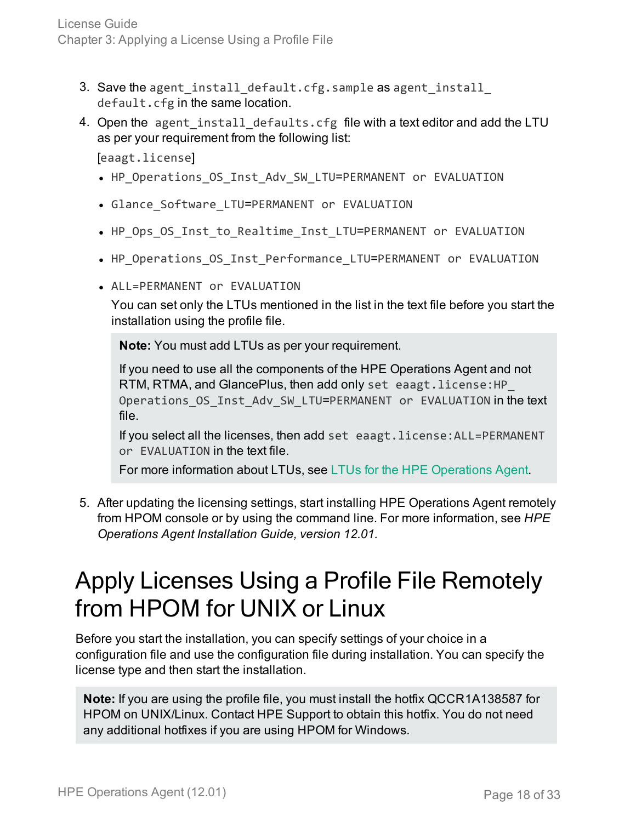- 3. Save the agent\_install\_default.cfg.sample as agent\_install\_ default.cfg in the same location.
- 4. Open the agent\_install\_defaults.cfg file with a text editor and add the LTU as per your requirement from the following list:

[eaagt.license]

- HP\_Operations\_OS\_Inst\_Adv\_SW\_LTU=PERMANENT or EVALUATION
- Glance\_Software\_LTU=PERMANENT or EVALUATION
- HP\_Ops\_OS\_Inst\_to\_Realtime\_Inst\_LTU=PERMANENT or EVALUATION
- HP\_Operations\_OS\_Inst\_Performance\_LTU=PERMANENT or EVALUATION
- ALL=PERMANENT or EVALUATION

You can set only the LTUs mentioned in the list in the text file before you start the installation using the profile file.

**Note:** You must add LTUs as per your requirement.

If you need to use all the components of the HPE Operations Agent and not RTM, RTMA, and GlancePlus, then add only set eaagt.license:HP\_ Operations OS Inst Adv SW LTU=PERMANENT or EVALUATION in the text file.

If you select all the licenses, then add set eaagt.license:ALL=PERMANENT or EVALUATION in the text file.

For more information about LTUs, see LTUs for the HPE [Operations](#page-8-0) Agent.

5. After updating the licensing settings, start installing HPE Operations Agent remotely from HPOM console or by using the command line. For more information, see *HPE Operations Agent Installation Guide, version 12.01.*

### <span id="page-17-0"></span>Apply Licenses Using a Profile File Remotely from HPOM for UNIX or Linux

Before you start the installation, you can specify settings of your choice in a configuration file and use the configuration file during installation. You can specify the license type and then start the installation.

**Note:** If you are using the profile file, you must install the hotfix QCCR1A138587 for HPOM on UNIX/Linux. Contact HPE Support to obtain this hotfix. You do not need any additional hotfixes if you are using HPOM for Windows.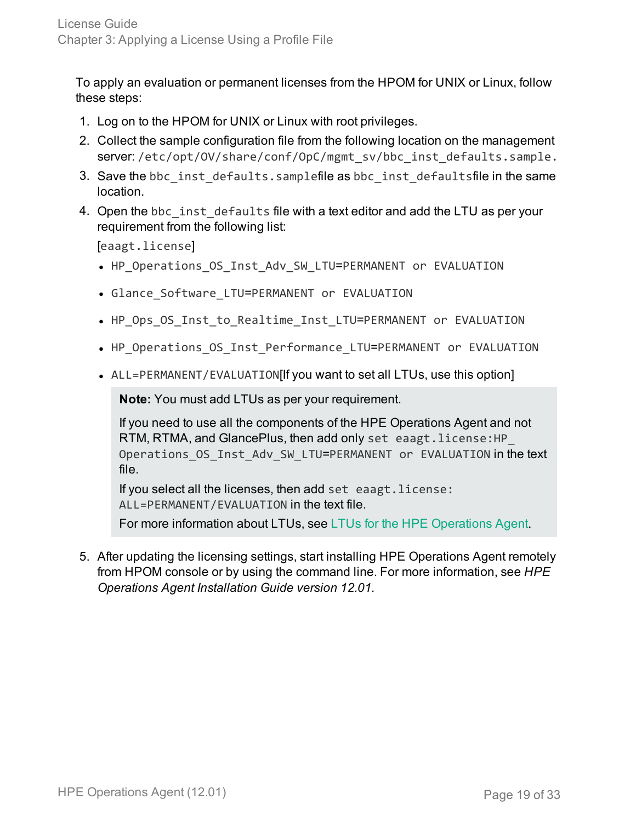To apply an evaluation or permanent licenses from the HPOM for UNIX or Linux, follow these steps:

- 1. Log on to the HPOM for UNIX or Linux with root privileges.
- 2. Collect the sample configuration file from the following location on the management server: /etc/opt/OV/share/conf/OpC/mgmt\_sv/bbc\_inst\_defaults.sample.
- 3. Save the bbc\_inst\_defaults.samplefile as bbc\_inst\_defaultsfile in the same location.
- 4. Open the bbc inst defaults file with a text editor and add the LTU as per your requirement from the following list:

[eaagt.license]

- HP\_Operations\_OS\_Inst\_Adv\_SW\_LTU=PERMANENT or EVALUATION
- Glance Software LTU=PERMANENT or EVALUATION
- HP\_Ops\_OS\_Inst\_to\_Realtime\_Inst\_LTU=PERMANENT or EVALUATION
- HP\_Operations\_OS\_Inst\_Performance\_LTU=PERMANENT or EVALUATION
- ALL=PERMANENT/EVALUATION[If you want to set all LTUs, use this option]

**Note:** You must add LTUs as per your requirement.

If you need to use all the components of the HPE Operations Agent and not RTM, RTMA, and GlancePlus, then add only set eaagt.license:HP\_ Operations\_OS\_Inst\_Adv\_SW\_LTU=PERMANENT or EVALUATION in the text file.

If you select all the licenses, then add set eaagt.license: ALL=PERMANENT/EVALUATION in the text file.

For more information about LTUs, see LTUs for the HPE [Operations](#page-8-0) Agent.

5. After updating the licensing settings, start installing HPE Operations Agent remotely from HPOM console or by using the command line. For more information, see *HPE Operations Agent Installation Guide version 12.01.*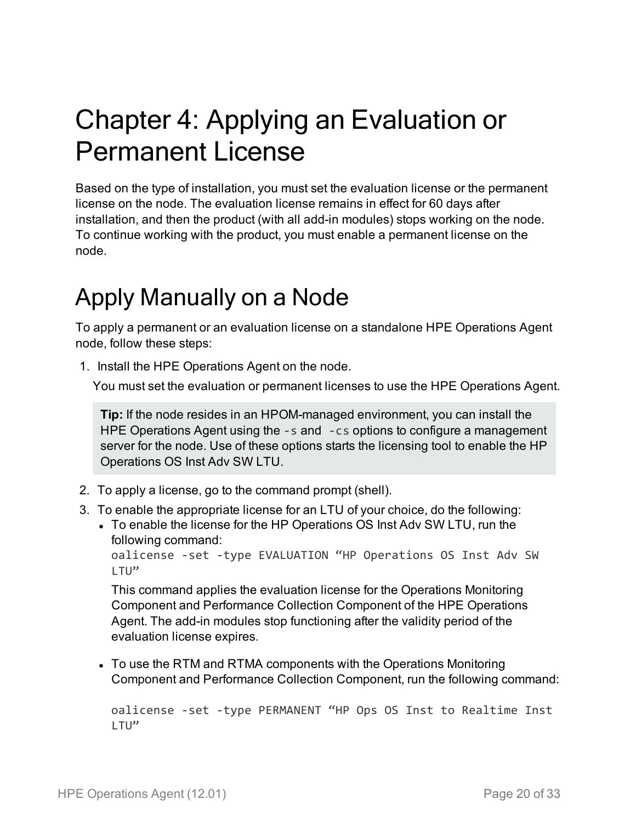# <span id="page-19-0"></span>Chapter 4: Applying an Evaluation or Permanent License

Based on the type of installation, you must set the evaluation license or the permanent license on the node. The evaluation license remains in effect for 60 days after installation, and then the product (with all add-in modules) stops working on the node. To continue working with the product, you must enable a permanent license on the node.

### <span id="page-19-1"></span>Apply Manually on a Node

To apply a permanent or an evaluation license on a standalone HPE Operations Agent node, follow these steps:

1. Install the HPE Operations Agent on the node.

You must set the evaluation or permanent licenses to use the HPE Operations Agent.

**Tip:** If the node resides in an HPOM-managed environment, you can install the HPE Operations Agent using the -s and -cs options to configure a management server for the node. Use of these options starts the licensing tool to enable the HP Operations OS Inst Adv SW LTU.

- 2. To apply a license, go to the command prompt (shell).
- 3. To enable the appropriate license for an LTU of your choice, do the following:
	- To enable the license for the HP Operations OS Inst Adv SW LTU, run the following command:

```
oalicense -set -type EVALUATION "HP Operations OS Inst Adv SW
LTU"
```
This command applies the evaluation license for the Operations Monitoring Component and Performance Collection Component of the HPE Operations Agent. The add-in modules stop functioning after the validity period of the evaluation license expires.

• To use the RTM and RTMA components with the Operations Monitoring Component and Performance Collection Component, run the following command:

```
oalicense -set -type PERMANENT "HP Ops OS Inst to Realtime Inst
LTU"
```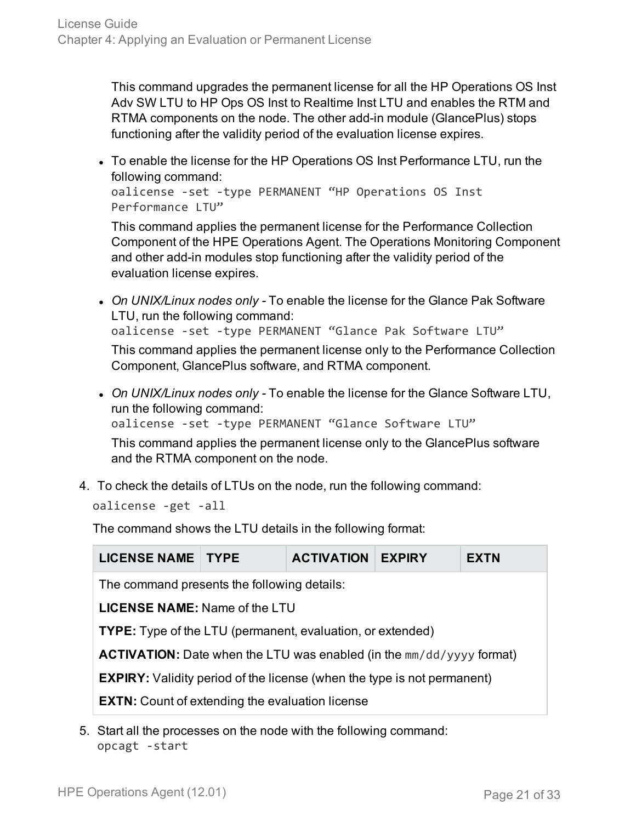This command upgrades the permanent license for all the HP Operations OS Inst Adv SW LTU to HP Ops OS Inst to Realtime Inst LTU and enables the RTM and RTMA components on the node. The other add-in module (GlancePlus) stops functioning after the validity period of the evaluation license expires.

• To enable the license for the HP Operations OS Inst Performance LTU, run the following command:

```
oalicense -set -type PERMANENT "HP Operations OS Inst
Performance LTU"
```
This command applies the permanent license for the Performance Collection Component of the HPE Operations Agent. The Operations Monitoring Component and other add-in modules stop functioning after the validity period of the evaluation license expires.

- <sup>l</sup> *On UNIX/Linux nodes only -* To enable the license for the Glance Pak Software LTU, run the following command: oalicense -set -type PERMANENT "Glance Pak Software LTU" This command applies the permanent license only to the Performance Collection Component, GlancePlus software, and RTMA component.
- <sup>l</sup> *On UNIX/Linux nodes only -* To enable the license for the Glance Software LTU, run the following command: oalicense -set -type PERMANENT "Glance Software LTU" This command applies the permanent license only to the GlancePlus software and the RTMA component on the node.
- 4. To check the details of LTUs on the node, run the following command:

oalicense -get -all

The command shows the LTU details in the following format:

| <b>LICENSE NAME   TYPE</b>                                                     |  | <b>ACTIVATION</b> | <b>EXPIRY</b> | <b>EXTN</b> |  |  |
|--------------------------------------------------------------------------------|--|-------------------|---------------|-------------|--|--|
| The command presents the following details:                                    |  |                   |               |             |  |  |
| <b>LICENSE NAME:</b> Name of the LTU                                           |  |                   |               |             |  |  |
| <b>TYPE:</b> Type of the LTU (permanent, evaluation, or extended)              |  |                   |               |             |  |  |
| <b>ACTIVATION:</b> Date when the LTU was enabled (in the $mm/dd/yyyy$ format)  |  |                   |               |             |  |  |
| <b>EXPIRY:</b> Validity period of the license (when the type is not permanent) |  |                   |               |             |  |  |
| <b>EXTN:</b> Count of extending the evaluation license                         |  |                   |               |             |  |  |

5. Start all the processes on the node with the following command: opcagt -start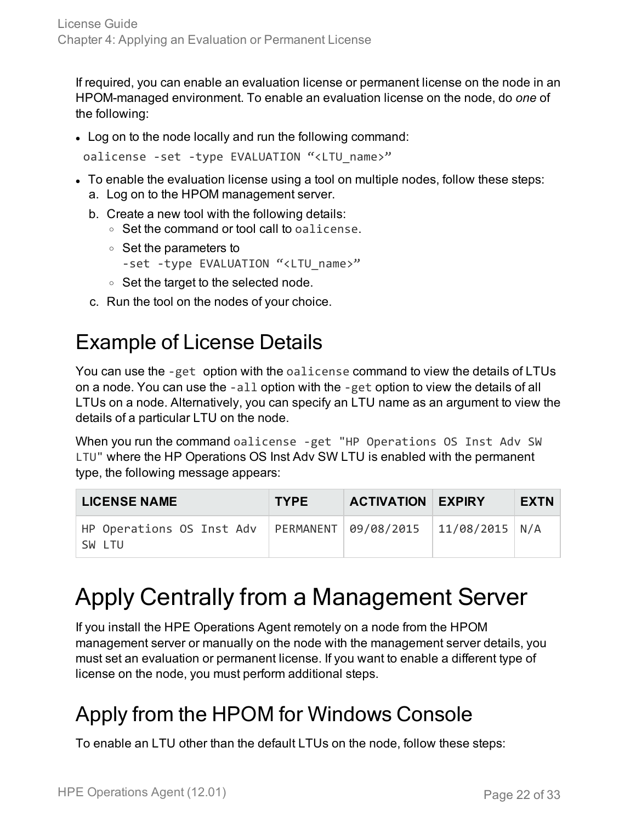If required, you can enable an evaluation license or permanent license on the node in an HPOM-managed environment. To enable an evaluation license on the node, do *one* of the following:

• Log on to the node locally and run the following command:

oalicense -set -type EVALUATION "<LTU\_name>"

- To enable the evaluation license using a tool on multiple nodes, follow these steps: a. Log on to the HPOM management server.
	- b. Create a new tool with the following details:
		- $\circ$  Set the command or tool call to oalicense.
		- <sup>o</sup> Set the parameters to

```
-set -type EVALUATION "<LTU_name>"
```
- <sup>o</sup> Set the target to the selected node.
- <span id="page-21-0"></span>c. Run the tool on the nodes of your choice.

### Example of License Details

You can use the -get option with the oalicense command to view the details of LTUs on a node. You can use the -all option with the -get option to view the details of all LTUs on a node. Alternatively, you can specify an LTU name as an argument to view the details of a particular LTU on the node.

When you run the command oalicense -get "HP Operations OS Inst Adv SW LTU" where the HP Operations OS Inst Adv SW LTU is enabled with the permanent type, the following message appears:

| <b>LICENSE NAME</b>                                                             | <b>TYPE</b> | <b>ACTIVATION EXPIRY</b> | <b>EXTN</b> |
|---------------------------------------------------------------------------------|-------------|--------------------------|-------------|
| HP Operations OS Inst Adv   PERMANENT   09/08/2015   11/08/2015   N/A<br>SW LTU |             |                          |             |

### <span id="page-21-1"></span>Apply Centrally from a Management Server

If you install the HPE Operations Agent remotely on a node from the HPOM management server or manually on the node with the management server details, you must set an evaluation or permanent license. If you want to enable a different type of license on the node, you must perform additional steps.

### <span id="page-21-2"></span>Apply from the HPOM for Windows Console

To enable an LTU other than the default LTUs on the node, follow these steps: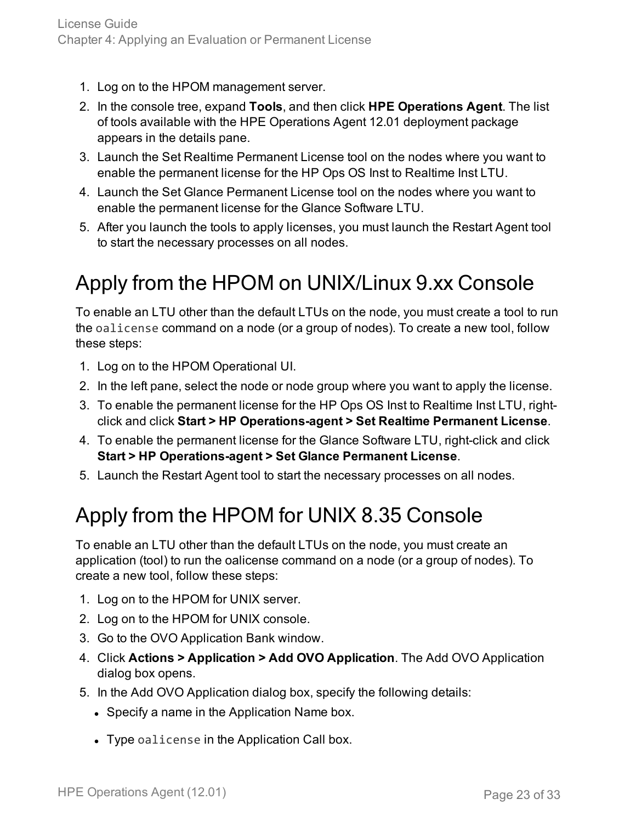- 1. Log on to the HPOM management server.
- 2. In the console tree, expand **Tools**, and then click **HPE Operations Agent**. The list of tools available with the HPE Operations Agent 12.01 deployment package appears in the details pane.
- 3. Launch the Set Realtime Permanent License tool on the nodes where you want to enable the permanent license for the HP Ops OS Inst to Realtime Inst LTU.
- 4. Launch the Set Glance Permanent License tool on the nodes where you want to enable the permanent license for the Glance Software LTU.
- 5. After you launch the tools to apply licenses, you must launch the Restart Agent tool to start the necessary processes on all nodes.

### <span id="page-22-0"></span>Apply from the HPOM on UNIX/Linux 9.xx Console

To enable an LTU other than the default LTUs on the node, you must create a tool to run the oalicense command on a node (or a group of nodes). To create a new tool, follow these steps:

- 1. Log on to the HPOM Operational UI.
- 2. In the left pane, select the node or node group where you want to apply the license.
- 3. To enable the permanent license for the HP Ops OS Inst to Realtime Inst LTU, rightclick and click **Start > HP Operations-agent > Set Realtime Permanent License**.
- 4. To enable the permanent license for the Glance Software LTU, right-click and click **Start > HP Operations-agent > Set Glance Permanent License**.
- <span id="page-22-1"></span>5. Launch the Restart Agent tool to start the necessary processes on all nodes.

### Apply from the HPOM for UNIX 8.35 Console

To enable an LTU other than the default LTUs on the node, you must create an application (tool) to run the oalicense command on a node (or a group of nodes). To create a new tool, follow these steps:

- 1. Log on to the HPOM for UNIX server.
- 2. Log on to the HPOM for UNIX console.
- 3. Go to the OVO Application Bank window.
- 4. Click **Actions > Application > Add OVO Application**. The Add OVO Application dialog box opens.
- 5. In the Add OVO Application dialog box, specify the following details:
	- Specify a name in the Application Name box.
	- Type oalicense in the Application Call box.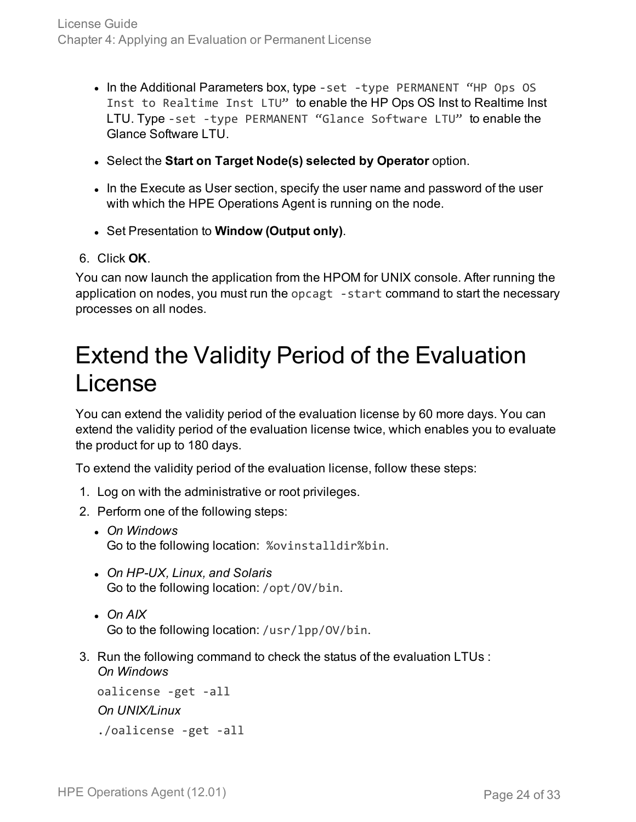- In the Additional Parameters box, type -set -type PERMANENT "HP Ops OS Inst to Realtime Inst LTU" to enable the HP Ops OS Inst to Realtime Inst LTU. Type -set -type PERMANENT "Glance Software LTU" to enable the Glance Software LTU
- <sup>l</sup> Select the **Start on Target Node(s) selected by Operator** option.
- In the Execute as User section, specify the user name and password of the user with which the HPE Operations Agent is running on the node.
- <sup>l</sup> Set Presentation to **Window (Output only)**.
- 6. Click **OK**.

You can now launch the application from the HPOM for UNIX console. After running the application on nodes, you must run the opcagt -start command to start the necessary processes on all nodes.

### <span id="page-23-0"></span>Extend the Validity Period of the Evaluation License

You can extend the validity period of the evaluation license by 60 more days. You can extend the validity period of the evaluation license twice, which enables you to evaluate the product for up to 180 days.

To extend the validity period of the evaluation license, follow these steps:

- 1. Log on with the administrative or root privileges.
- 2. Perform one of the following steps:
	- <sup>l</sup> *On Windows* Go to the following location: %ovinstalldir%bin.
	- <sup>l</sup> *On HP-UX, Linux, and Solaris* Go to the following location: /opt/OV/bin.
	- <sup>l</sup> *On AIX* Go to the following location: /usr/lpp/OV/bin.
- 3. Run the following command to check the status of the evaluation LTUs : *On Windows*

```
oalicense -get -all
On UNIX/Linux
./oalicense -get -all
```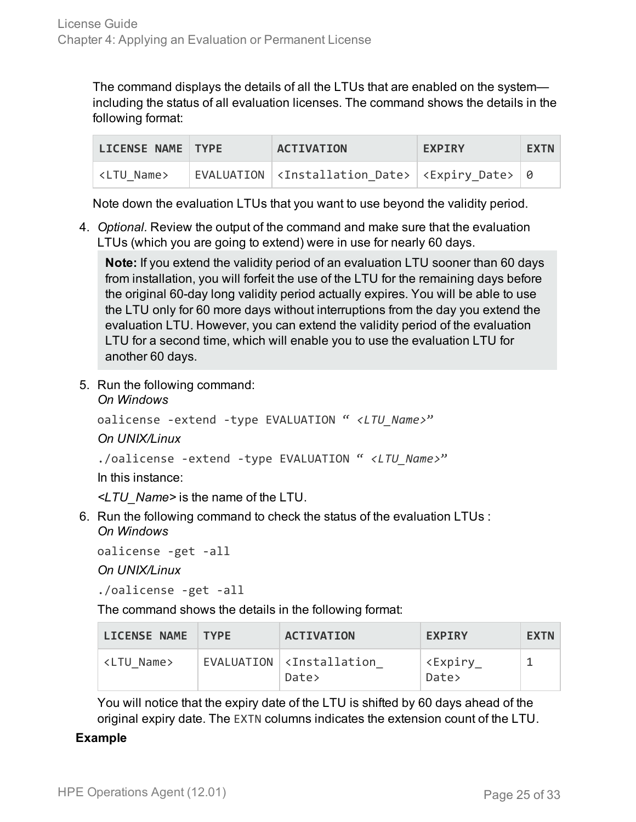The command displays the details of all the LTUs that are enabled on the system including the status of all evaluation licenses. The command shows the details in the following format:

| LICENSE NAME TYPE   | <b>ACTIVATION</b>                                                                 | <b>EXPIRY</b> | <b>EXTN</b> |
|---------------------|-----------------------------------------------------------------------------------|---------------|-------------|
| <ltu name=""></ltu> | EVALUATION   <installation date="">  <expiry date="">   0</expiry></installation> |               |             |

Note down the evaluation LTUs that you want to use beyond the validity period.

4. *Optional.* Review the output of the command and make sure that the evaluation LTUs (which you are going to extend) were in use for nearly 60 days.

**Note:** If you extend the validity period of an evaluation LTU sooner than 60 days from installation, you will forfeit the use of the LTU for the remaining days before the original 60-day long validity period actually expires. You will be able to use the LTU only for 60 more days without interruptions from the day you extend the evaluation LTU. However, you can extend the validity period of the evaluation LTU for a second time, which will enable you to use the evaluation LTU for another 60 days.

5. Run the following command: *On Windows*

```
oalicense -extend -type EVALUATION " <LTU_Name>"
```
*On UNIX/Linux*

```
./oalicense -extend -type EVALUATION " <LTU_Name>"
```
In this instance:

*<LTU\_Name>* is the name of the LTU.

6. Run the following command to check the status of the evaluation LTUs : *On Windows*

```
oalicense -get -all
```
*On UNIX/Linux*

./oalicense -get -all

The command shows the details in the following format:

| LICENSE NAME TYPE   | <b>ACTIVATION</b>                          | <b>EXPTRY</b>                   | <b>EXTN</b> |
|---------------------|--------------------------------------------|---------------------------------|-------------|
| <ltu name=""></ltu> | $EVALUATION \times Instantiation$<br>Date> | <expiry<br>Date&gt;</expiry<br> |             |

You will notice that the expiry date of the LTU is shifted by 60 days ahead of the original expiry date. The EXTN columns indicates the extension count of the LTU.

#### **Example**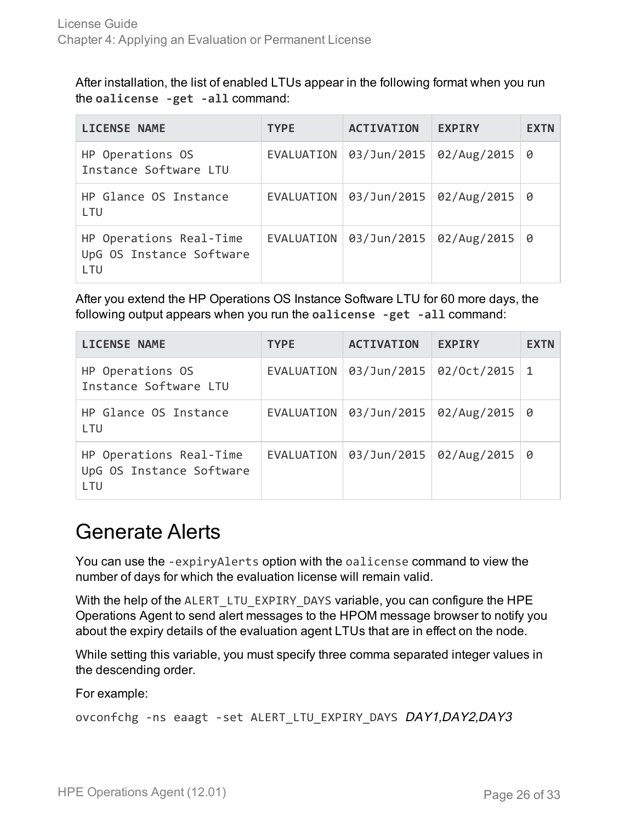After installation, the list of enabled LTUs appear in the following format when you run the **oalicense -get -all** command:

| <b>LICENSE NAME</b>                                        | <b>TYPE</b> | <b>ACTIVATION</b>       | <b>EXPIRY</b> | <b>EXTN</b> |
|------------------------------------------------------------|-------------|-------------------------|---------------|-------------|
| HP Operations OS<br>Instance Software LTU                  | EVALUATION  | 03/Jun/2015             | 02/Aug/2015   | 0           |
| HP Glance OS Instance<br><b>LTU</b>                        | EVALUATION  | 03/Jun/2015 02/Aug/2015 |               | 0           |
| HP Operations Real-Time<br>UpG OS Instance Software<br>LTU | EVALUATION  | 03/Jun/2015 02/Aug/2015 |               | 0           |

After you extend the HP Operations OS Instance Software LTU for 60 more days, the following output appears when you run the **oalicense -get -all** command:

| <b>LICENSE NAME</b>                                        | <b>TYPE</b>       | <b>ACTIVATION</b>                      | <b>EXPIRY</b> | <b>EXTN</b> |
|------------------------------------------------------------|-------------------|----------------------------------------|---------------|-------------|
| HP Operations OS<br>Instance Software LTU                  | <b>EVALUATION</b> | 03/Jun/2015                            | 02/0ct/2015   | 1           |
| HP Glance OS Instance<br>LTU                               |                   | EVALUATION $\vert$ 03/Jun/2015 $\vert$ | 02/Aug/2015   | 0           |
| HP Operations Real-Time<br>UpG OS Instance Software<br>LTU | EVALUATION        | 03/Jun/2015                            | 02/Aug/2015   | 0           |

### <span id="page-25-0"></span>Generate Alerts

You can use the -expiryAlerts option with the oalicense command to view the number of days for which the evaluation license will remain valid.

With the help of the ALERT\_LTU\_EXPIRY\_DAYS variable, you can configure the HPE Operations Agent to send alert messages to the HPOM message browser to notify you about the expiry details of the evaluation agent LTUs that are in effect on the node.

While setting this variable, you must specify three comma separated integer values in the descending order.

For example:

ovconfchg -ns eaagt -set ALERT LTU EXPIRY DAYS DAY1,DAY2,DAY3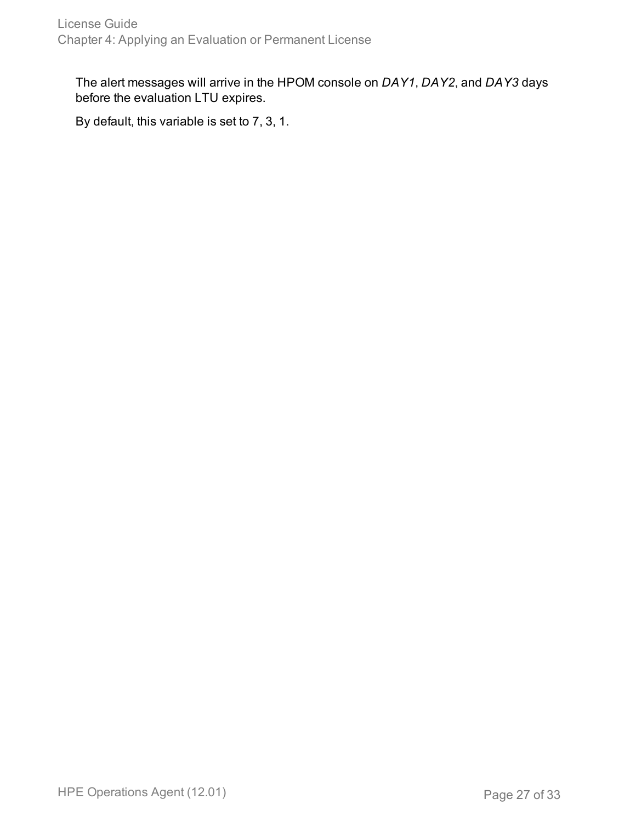The alert messages will arrive in the HPOM console on *DAY1*, *DAY2*, and *DAY3* days before the evaluation LTU expires.

By default, this variable is set to 7, 3, 1.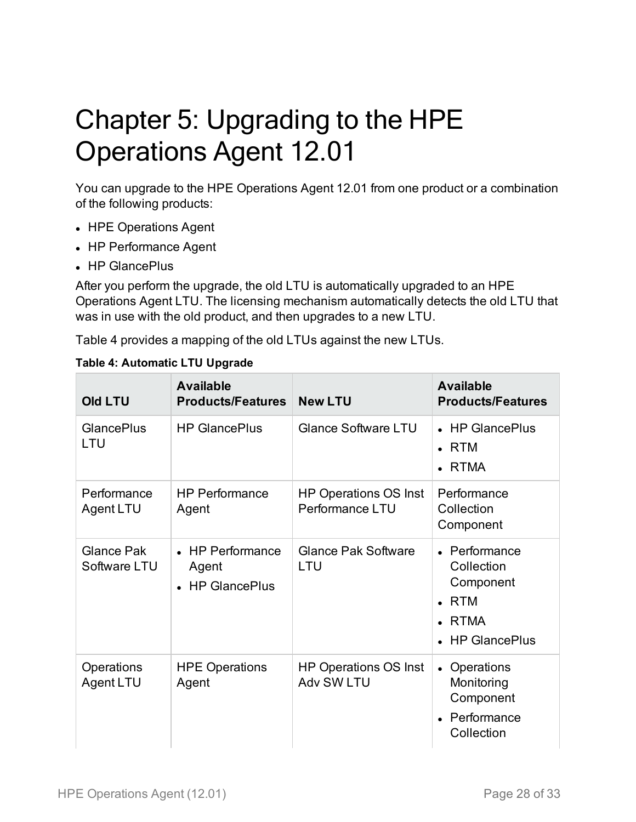# <span id="page-27-0"></span>Chapter 5: Upgrading to the HPE Operations Agent 12.01

You can upgrade to the HPE Operations Agent 12.01 from one product or a combination of the following products:

- HPE Operations Agent
- HP Performance Agent
- . HP GlancePlus

After you perform the upgrade, the old LTU is automatically upgraded to an HPE Operations Agent LTU. The licensing mechanism automatically detects the old LTU that was in use with the old product, and then upgrades to a new LTU.

Table 4 provides a mapping of the old LTUs against the new LTUs.

| <b>Old LTU</b>                    | <b>Available</b><br><b>Products/Features</b> | <b>New LTU</b>                                  | <b>Available</b><br><b>Products/Features</b>                                              |
|-----------------------------------|----------------------------------------------|-------------------------------------------------|-------------------------------------------------------------------------------------------|
| <b>GlancePlus</b><br>LTU          | <b>HP GlancePlus</b>                         | <b>Glance Software LTU</b>                      | • HP GlancePlus<br>$\cdot$ RTM<br>• RTMA                                                  |
| Performance<br>Agent LTU          | <b>HP Performance</b><br>Agent               | <b>HP Operations OS Inst</b><br>Performance LTU | Performance<br>Collection<br>Component                                                    |
| <b>Glance Pak</b><br>Software LTU | • HP Performance<br>Agent<br>• HP GlancePlus | <b>Glance Pak Software</b><br>LTU               | • Performance<br>Collection<br>Component<br>$\cdot$ RTM<br><b>RTMA</b><br>• HP GlancePlus |
| Operations<br>Agent LTU           | <b>HPE Operations</b><br>Agent               | <b>HP Operations OS Inst</b><br>Adv SW LTU      | • Operations<br>Monitoring<br>Component<br>Performance<br>Collection                      |

**Table 4: Automatic LTU Upgrade**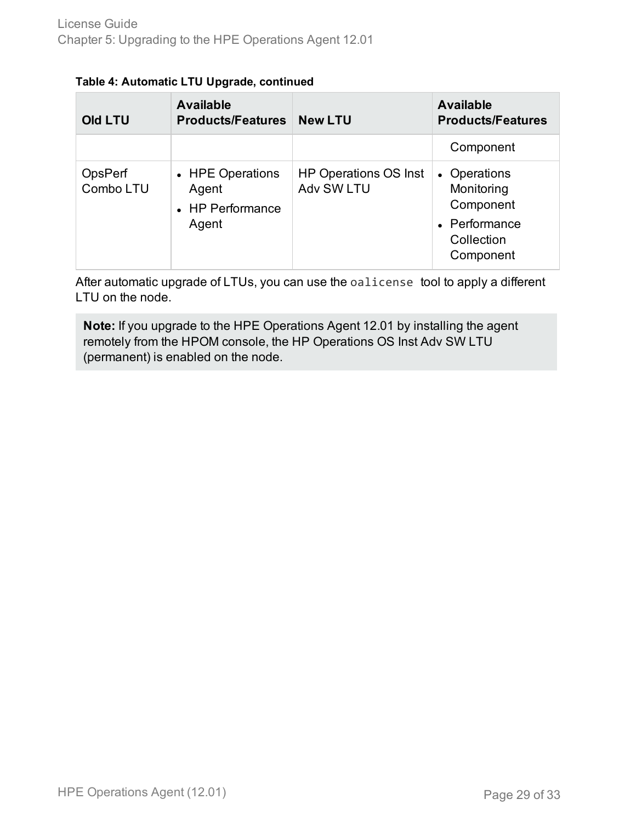| Table 4: Automatic LTU Upgrade, continued |  |  |
|-------------------------------------------|--|--|
|                                           |  |  |

| <b>Old LTU</b>       | <b>Available</b><br><b>Products/Features</b>           | <b>New LTU</b>                                    | <b>Available</b><br><b>Products/Features</b>                                        |
|----------------------|--------------------------------------------------------|---------------------------------------------------|-------------------------------------------------------------------------------------|
|                      |                                                        |                                                   | Component                                                                           |
| OpsPerf<br>Combo LTU | • HPE Operations<br>Agent<br>• HP Performance<br>Agent | <b>HP Operations OS Inst</b><br><b>Adv SW LTU</b> | • Operations<br>Monitoring<br>Component<br>• Performance<br>Collection<br>Component |

After automatic upgrade of LTUs, you can use the oalicense tool to apply a different LTU on the node.

**Note:** If you upgrade to the HPE Operations Agent 12.01 by installing the agent remotely from the HPOM console, the HP Operations OS Inst Adv SW LTU (permanent) is enabled on the node.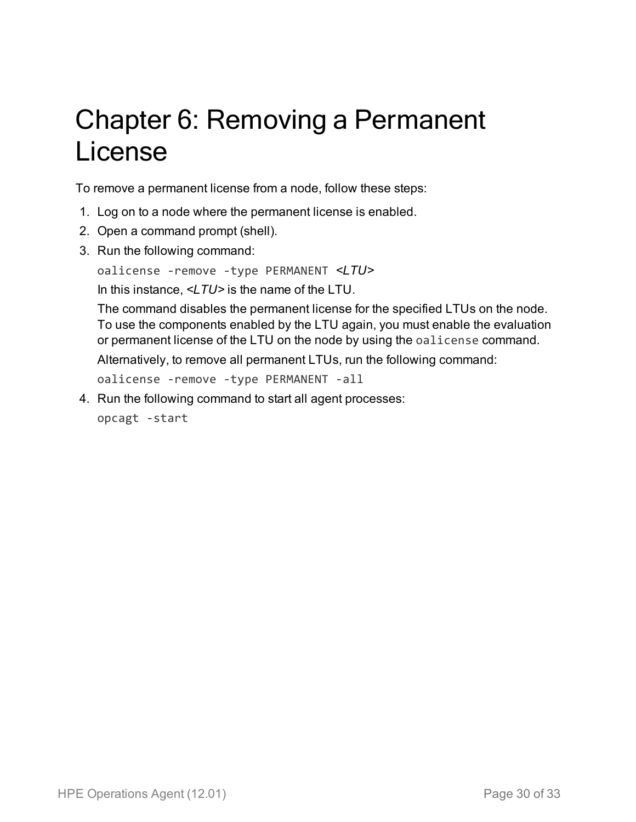# <span id="page-29-0"></span>Chapter 6: Removing a Permanent License

To remove a permanent license from a node, follow these steps:

- 1. Log on to a node where the permanent license is enabled.
- 2. Open a command prompt (shell).
- 3. Run the following command:

oalicense -remove -type PERMANENT *<LTU>*

In this instance, *<LTU>* is the name of the LTU.

The command disables the permanent license for the specified LTUs on the node. To use the components enabled by the LTU again, you must enable the evaluation or permanent license of the LTU on the node by using the oalicense command. Alternatively, to remove all permanent LTUs, run the following command:

oalicense -remove -type PERMANENT -all

4. Run the following command to start all agent processes:

opcagt -start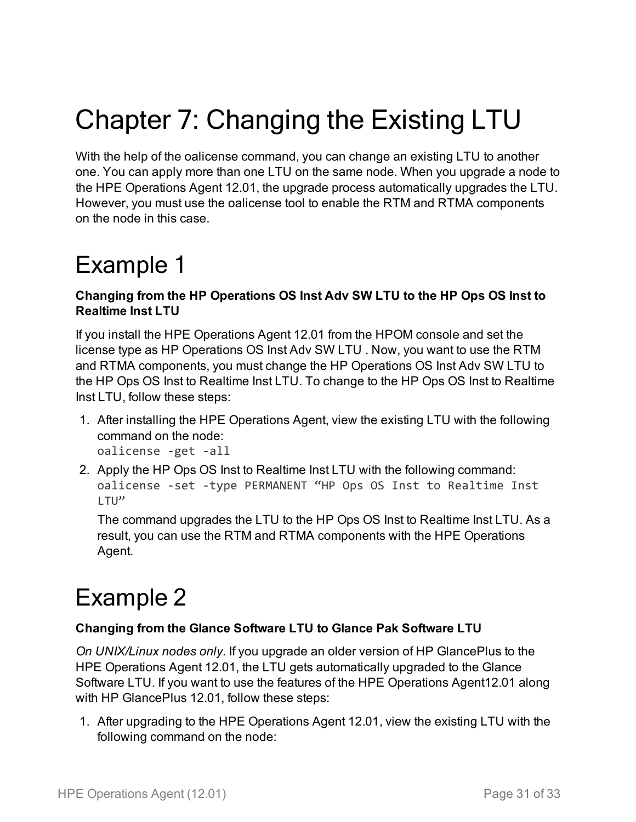# <span id="page-30-0"></span>Chapter 7: Changing the Existing LTU

With the help of the oalicense command, you can change an existing LTU to another one. You can apply more than one LTU on the same node. When you upgrade a node to the HPE Operations Agent 12.01, the upgrade process automatically upgrades the LTU. However, you must use the oalicense tool to enable the RTM and RTMA components on the node in this case.

## <span id="page-30-1"></span>Example 1

#### **Changing from the HP Operations OS Inst Adv SW LTU to the HP Ops OS Inst to Realtime Inst LTU**

If you install the HPE Operations Agent 12.01 from the HPOM console and set the license type as HP Operations OS Inst Adv SW LTU . Now, you want to use the RTM and RTMA components, you must change the HP Operations OS Inst Adv SW LTU to the HP Ops OS Inst to Realtime Inst LTU. To change to the HP Ops OS Inst to Realtime Inst LTU, follow these steps:

1. After installing the HPE Operations Agent, view the existing LTU with the following command on the node:

oalicense -get -all

2. Apply the HP Ops OS Inst to Realtime Inst LTU with the following command: oalicense -set -type PERMANENT "HP Ops OS Inst to Realtime Inst LTU"

The command upgrades the LTU to the HP Ops OS Inst to Realtime Inst LTU. As a result, you can use the RTM and RTMA components with the HPE Operations Agent.

## <span id="page-30-2"></span>Example 2

#### **Changing from the Glance Software LTU to Glance Pak Software LTU**

*On UNIX/Linux nodes only.* If you upgrade an older version of HP GlancePlus to the HPE Operations Agent 12.01, the LTU gets automatically upgraded to the Glance Software LTU. If you want to use the features of the HPE Operations Agent12.01 along with HP GlancePlus 12.01, follow these steps:

1. After upgrading to the HPE Operations Agent 12.01, view the existing LTU with the following command on the node: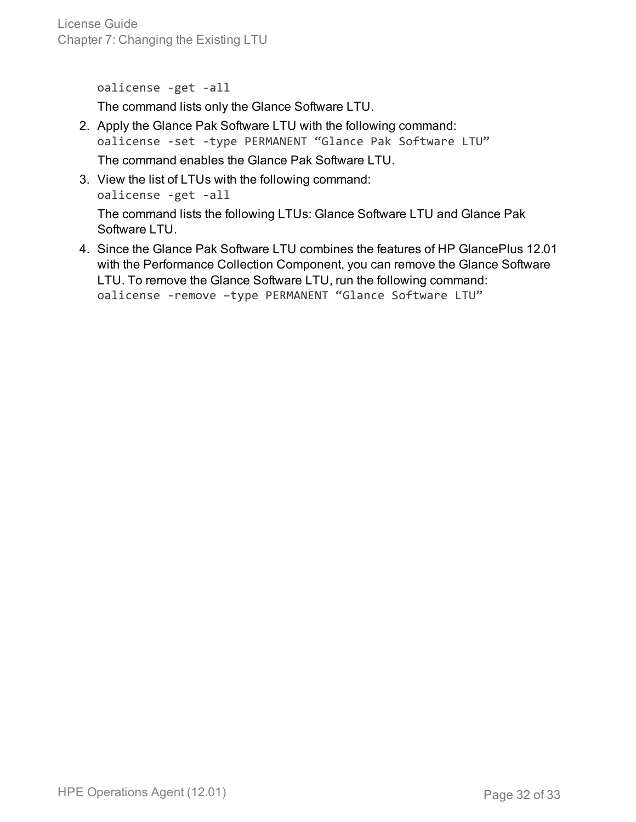License Guide Chapter 7: Changing the Existing LTU

oalicense -get -all

The command lists only the Glance Software LTU.

- 2. Apply the Glance Pak Software LTU with the following command: oalicense -set -type PERMANENT "Glance Pak Software LTU" The command enables the Glance Pak Software LTU.
- 3. View the list of LTUs with the following command: oalicense -get -all The command lists the following LTUs: Glance Software LTU and Glance Pak Software LTU.
- 4. Since the Glance Pak Software LTU combines the features of HP GlancePlus 12.01 with the Performance Collection Component, you can remove the Glance Software LTU. To remove the Glance Software LTU, run the following command: oalicense -remove –type PERMANENT "Glance Software LTU"